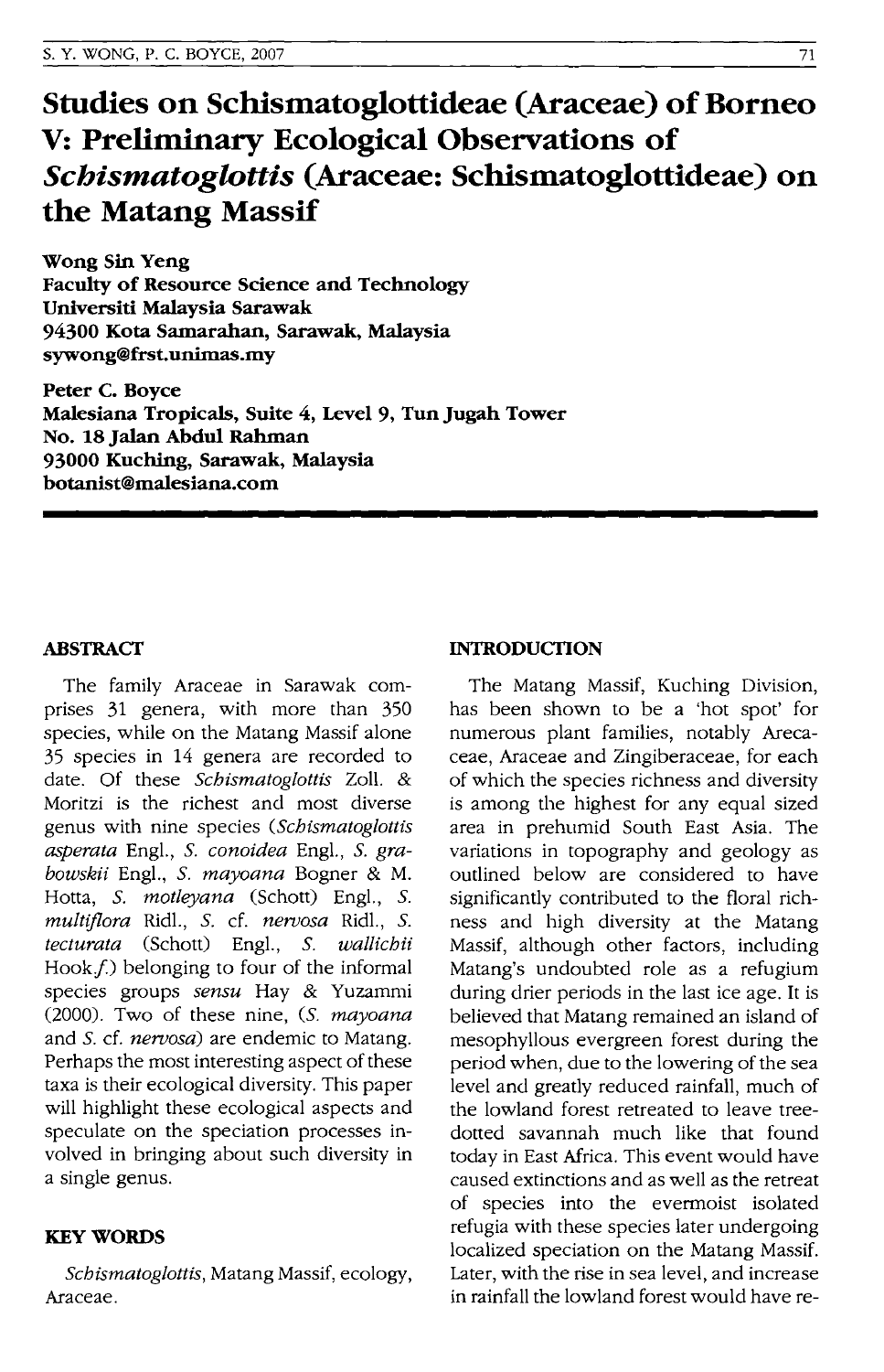# **Studies on Schismatoglottideae (Araceae) of Borneo V: Preliminary Ecological Observations of**  *Schismatoglottis* **(Araceae: Schismatoglottideae) on the Matang Massif**

**Wong Sin Yeng Faculty of Resource Science and Technology Universiti Malaysia Sarawak 94300 Kota Samarahan, Sarawak, Malaysia sywong@frst.unimas.my** 

**Peter C. Boyce Malesiana Tropicals, Suite 4, Level 9, Tun Jugah Tower No. 18 Jalan Abdul Rahman 93000 Kuching, Sarawak, Malaysia botanist@maiesiana.com** 

### **ABSTRACT**

The family Araceae in Sarawak comprises 31 genera, with more than 350 species, while on the Matang Massif alone 35 species in 14 genera are recorded to date. Of these *Schismatoglottis* Zoll. & Moritzi is the richest and most diverse genus with nine species *(Schismatoglottis asperata* Eng!., S. *conoidea* Eng!., S. *grabowski/* Eng!., S. *mayoana* Bogner & M. Hotta, S. *motleyana* (Schott) Eng!., S. *multiflora* Rid!., S. cf. *neroosa* Rid!., S. *tecturata* (Schott) Eng!., S. *wallichii*  Hook *f*.) belonging to four of the informal species groups *sensu* Hay & Yuzammi (2000). Two of these nine, *(S. mayoana*  and S. cf. *neroosa)* are endemic to Matang. Perhaps the most interesting aspect of these taxa is their ecological diversity. This paper will highlight these ecological aspects and speculate on the speciation processes involved in bringing about such diversity in a single genus.

#### **KEYWORDS**

*Scbismatoglottis,* Matang Massif, ecology, Araceae.

#### **INTRODUCTION**

The Matang Massif, Kuching Division, has been shown to be a 'hot spot' for numerous plant families, notably Arecaceae, Araceae and Zingiberaceae, for each of which the species richness and diversity is among the highest for any equal sized area in prehumid South East Asia. The variations in topography and geology as outlined below are considered to have significantly contributed to the floral richness and high diversity at the Matang Massif, although other factors, including Matang's undoubted role as a refugium during drier periods in the last ice age. It is believed that Matang remained an island of mesophyllous evergreen forest during the period when, due to the lowering of the sea level and greatly reduced rainfall, much of the lowland forest retreated to leave treedotted savannah much like that found today in East Africa. This event would have caused extinctions and as well as the retreat of species into the evermoist isolated refugia with these species later undergoing localized speciation on the Matang Massif. Later, with the rise in sea level, and increase in rainfall the lowland forest would have re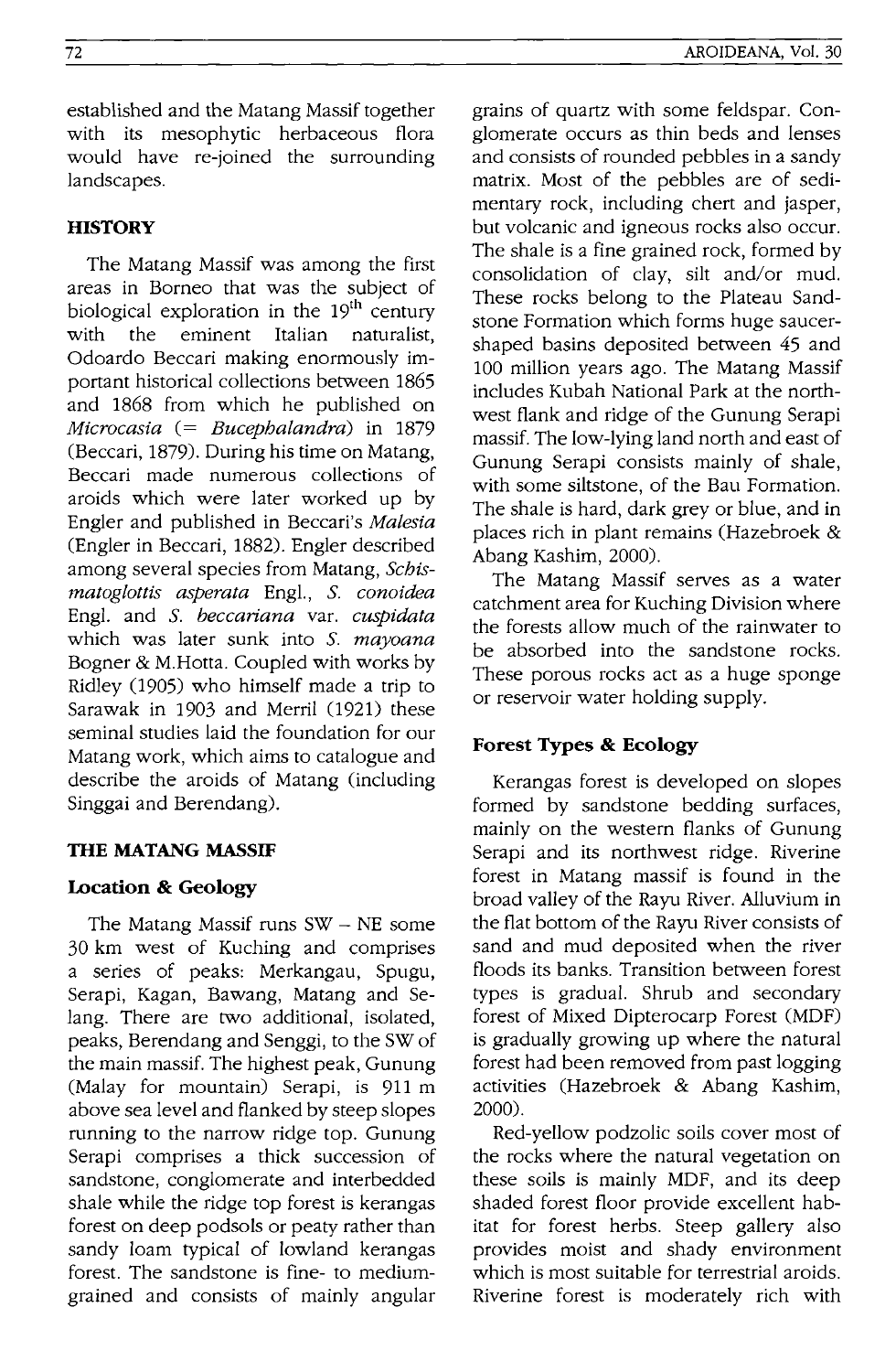established and the Matang Massif together with its mesophytic herbaceous flora would have re-joined the surrounding landscapes.

# **HISTORY**

The Matang Massif was among the first areas in Borneo that was the subject of biological exploration in the  $19<sup>th</sup>$  century with the eminent Italian naturalist, Odoardo Beccari making enormously important historical collections between 1865 and 1868 from which he published on *Microcasia* (= *Bucephalandra)* in 1879 (Beccari, 1879). During his time on Matang, Beccari made numerous collections of aroids which were later worked up by Engler and published in Beccari's *Malesia*  (Engler in Beccari, 1882). Engler described among several species from Matang, *Schismatoglottis asperata* Engl., S. *conoidea*  Engl. and S. *beccariana* var. *cuspidata*  which was later sunk into S. *mayoana*  Bogner & M.Hotta. Coupled with works by Ridley (1905) who himself made a trip to Sarawak in 1903 and Merril (1921) these seminal studies laid the foundation for our Matang work, which aims to catalogue and describe the aroids of Matang (including Singgai and Berendang).

# **TIlE MATANG MASSIF**

# **Location & Geology**

The Matang Massif runs  $SW - NE$  some 30 km west of Kuching and comprises a series of peaks: Merkangau, Spugu, Serapi, Kagan, Bawang, Matang and Selang. There are two additional, isolated, peaks, Berendang and Senggi, to the SW of the main massif. The highest peak, Gunung (Malay for mountain) Serapi, is 911 m above sea level and flanked by steep slopes running to the narrow ridge top. Gunung Serapi comprises a thick succession of sandstone, conglomerate and interbedded shale while the ridge top forest is kerangas forest on deep podsols or peaty rather than sandy loam typical of lowland kerangas forest. The sandstone is fine- to mediumgrained and consists of mainly angular grains of quartz with some feldspar. Conglomerate occurs as thin beds and lenses and consists of rounded pebbles in a sandy matrix. Most of the pebbles are of sedimentary rock, including chert and jasper, but volcanic and igneous rocks also occur. The shale is a fine grained rock, formed by consolidation of clay, silt and/or mud. These rocks belong to the Plateau Sandstone Formation which forms huge saucershaped basins deposited between 45 and 100 million years ago. The Matang Massif includes Kubah National Park at the northwest flank and ridge of the Gunung Serapi massif. The low-lying land north and east of Gunung Serapi consists mainly of shale, with some siltstone, of the Bau Formation. The shale is hard, dark grey or blue, and in places rich in plant remains (Hazebroek & Abang Kashim, 2000).

The Matang Massif serves as a water catchment area for Kuching Division where the forests allow much of the rainwater to be absorbed into the sandstone rocks. These porous rocks act as a huge sponge or reservoir water holding supply.

# **Forest Types & Ecology**

Kerangas forest is developed on slopes formed by sandstone bedding surfaces, mainly on the western flanks of Gunung Serapi and its northwest ridge. Riverine forest in Matang massif is found in the broad valley of the Rayu River. Alluvium in the flat bottom of the Rayu River consists of sand and mud deposited when the river floods its banks. Transition between forest types is gradual. Shrub and secondary forest of Mixed Dipterocarp Forest (MDF) is gradually growing up where the natural forest had been removed from past logging activities (Hazebroek & Abang Kashim, 2000).

Red-yellow podzolic soils cover most of the rocks where the natural vegetation on these soils is mainly MDF, and its deep shaded forest floor provide excellent habitat for forest herbs. Steep gallery also provides moist and shady environment which is most suitable for terrestrial aroids. Riverine forest is moderately rich with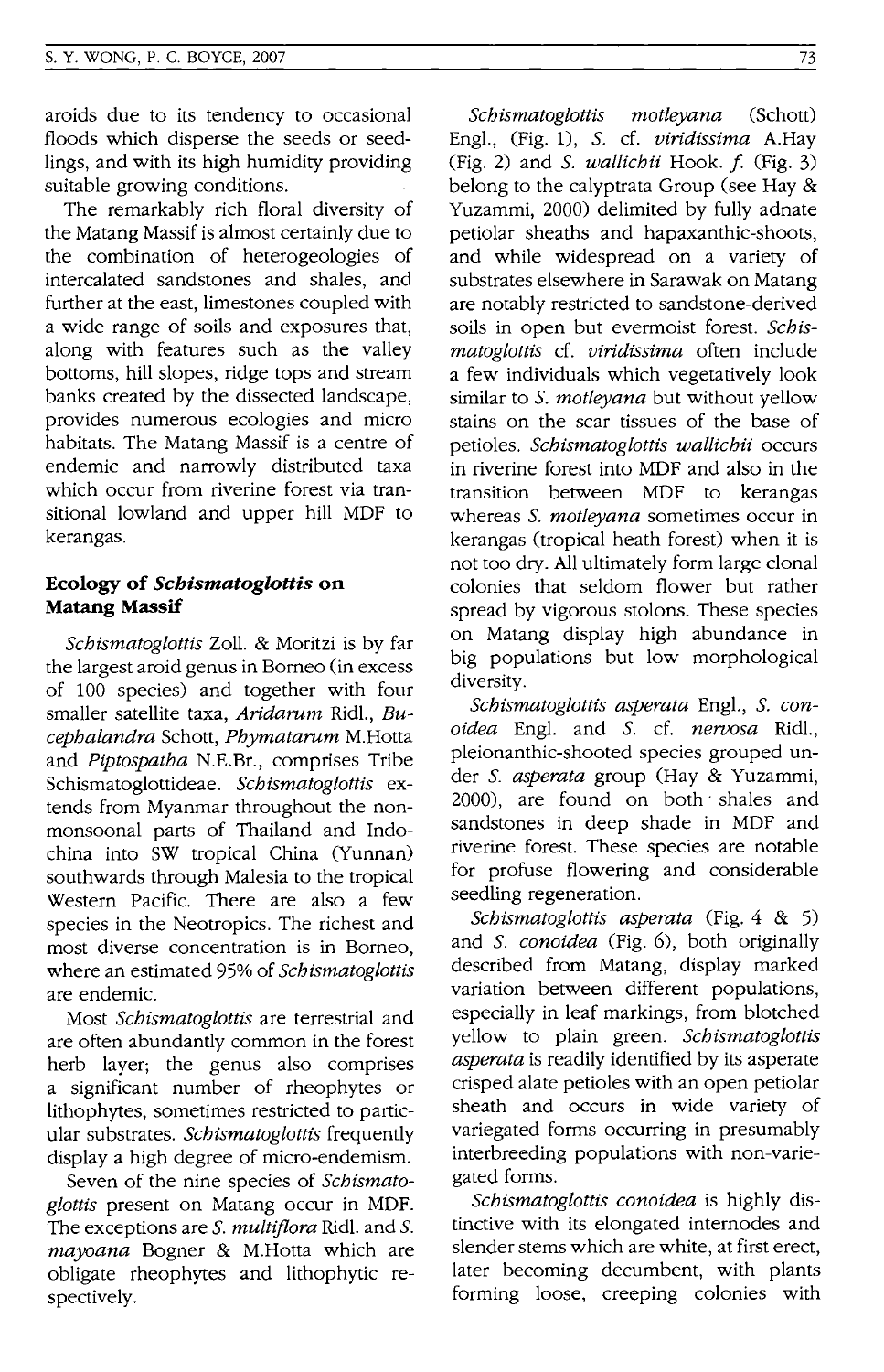aroids due to its tendency to occasional floods which disperse the seeds or seedlings, and with its high humidity providing suitable growing conditions.

The remarkably rich floral diversity of the Matang Massif is almost certainly due to the combination of heterogeologies of intercalated sandstones and shales, and further at the east, limestones coupled with a wide range of soils and exposures that, along with features such as the valley bottoms, hill slopes, ridge tops and stream banks created by the dissected landscape, provides numerous ecologies and micro habitats. The Matang Massif is a centre of endemic and narrowly distributed taxa which occur from riverine forest via transitional lowland and upper hill MDF to kerangas.

# **Ecology of** *Schismatoglottis* **on Matang Massif**

*Schismatoglottis* Zoll. & Moritzi is by far the largest aroid genus in Borneo (in excess of 100 species) and together with four smaller satellite taxa, *Aridarum* Ridl., *Bucephalandra* Schott, *Phymatarum* M.Hotta and *Piptospatha* N.E.Br., comprises Tribe Schismatoglottideae. *Schismatoglottis* extends from Myanmar throughout the nonmonsoonal parts of Thailand and Indochina into SW tropical China (Yunnan) southwards through Malesia to the tropical Western Pacific. There are also a few species in the Neotropics. The richest and most diverse concentration is in Borneo, where an estimated 95% of *Schismatoglottis*  are endemic.

Most *Schismatoglottis* are terrestrial and are often abundantly common in the forest herb layer; the genus also comprises a significant number of rheophytes or lithophytes, sometimes restricted to particular substrates. *Schismatoglottis* frequently display a high degree of micro-endemism.

Seven of the nine species of *Schismatoglottis* present on Matang occur in MDF. The exceptions are S. *multiflora* Ridl. and S. *mayoana* Bogner & M.Hotta which are obligate rheophytes and lithophytic respectively.

*Schismatoglottis motleyana* (Schott) Engl., (Fig. 1), S. cf. *viridissima* A.Hay (Fig. 2) and S. *wallichii* Hook. f. (Fig. 3) belong to the calyptrata Group (see Hay & Yuzammi, 2000) delimited by fully adnate petiolar sheaths and hapaxanthic-shoots, and while widespread on a variety of substrates elsewhere in Sarawak on Matang are notably restricted to sandstone-derived soils in open but evermoist forest. *Schismatoglottis* cf. *viridissima* often include a few individuals which vegetatively look similar to S. *motleyana* but without yellow stains on the scar tissues of the base of petioles. *Schismatoglottis wallichii* occurs in riverine forest into MDF and also in the transition between MDF to kerangas whereas S. *motleyana* sometimes occur in kerangas (tropical heath forest) when it is not too dry. All ultimately form large clonal colonies that seldom flower but rather spread by vigorous stolons. These species on Matang display high abundance in big populations but low morphological diversity.

*Schismatoglottis asperata* Engl., S. *conoidea* Engl. and S. cf. *nervosa* Ridl., pleionanthic-shooted species grouped under S. *asperata* group (Hay & Yuzammi, 2000), are found on both' shales and sandstones in deep shade in MDF and riverine forest. These species are notable for profuse flowering and considerable seedling regeneration.

*Schismatoglottis asperata* (Fig. 4 & 5) and S. *conoidea* (Fig. 6), both originally described from Matang, display marked variation between different populations, especially in leaf markings, from blotched yellow to plain green. *Schismatoglottis asperata* is readily identified by its asperate crisped alate petioles with an open petiolar sheath and occurs in wide variety of variegated forms occurring in presumably interbreeding populations with non-variegated forms.

*Schismatoglottis conoidea* is highly distinctive with its elongated internodes and slender stems which are white, at first erect, later becoming decumbent, with plants forming loose, creeping colonies with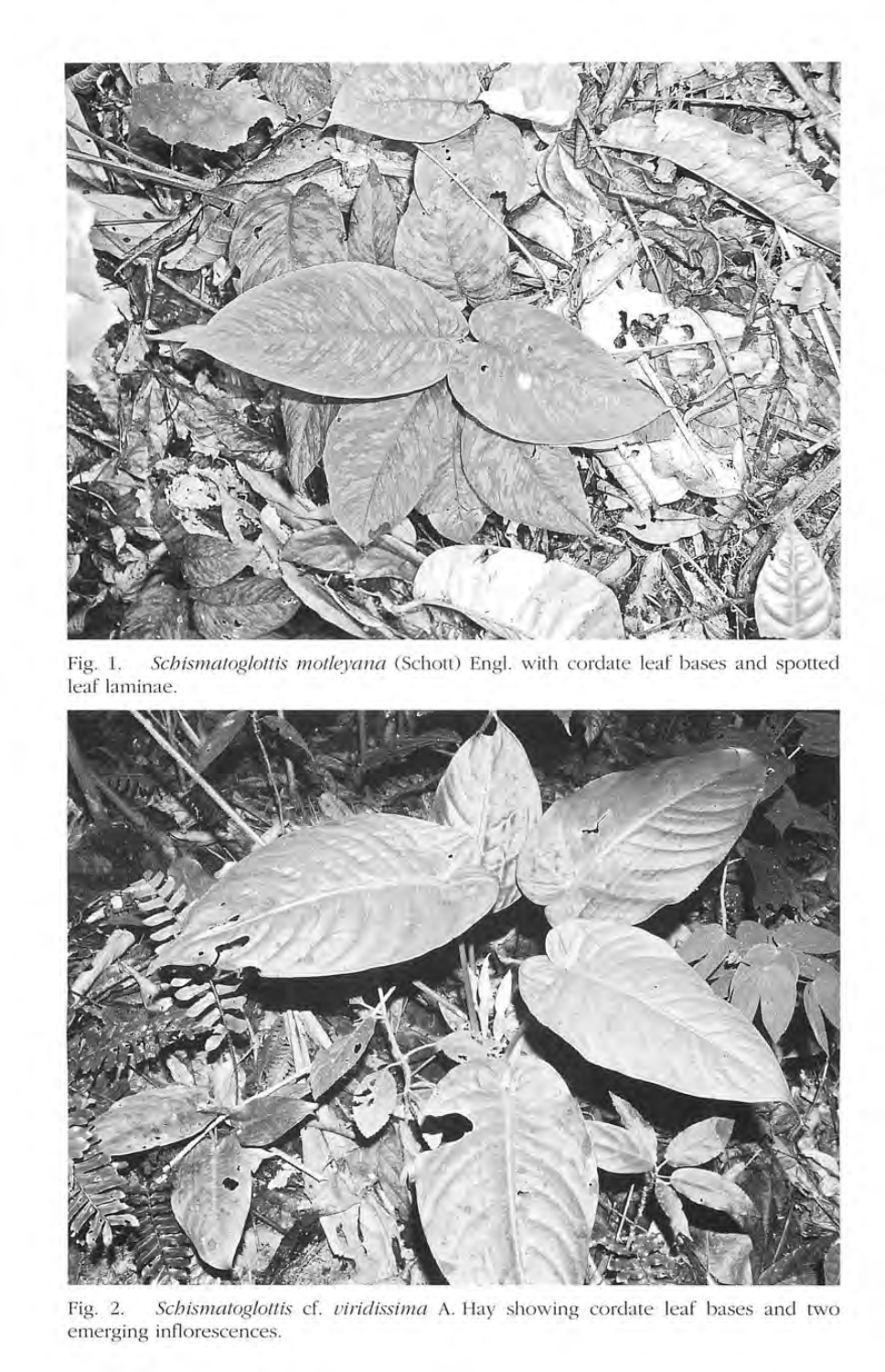

Fig. 1. *Schismatoglottis motleyana* (Schott) Engl. with cordate leaf bases and spotted leaf laminae.



Fig. 2. *Schismatoglottis* cf. *uiridissima* A. Hay showing cordate leaf bases and two emerging inflorescences.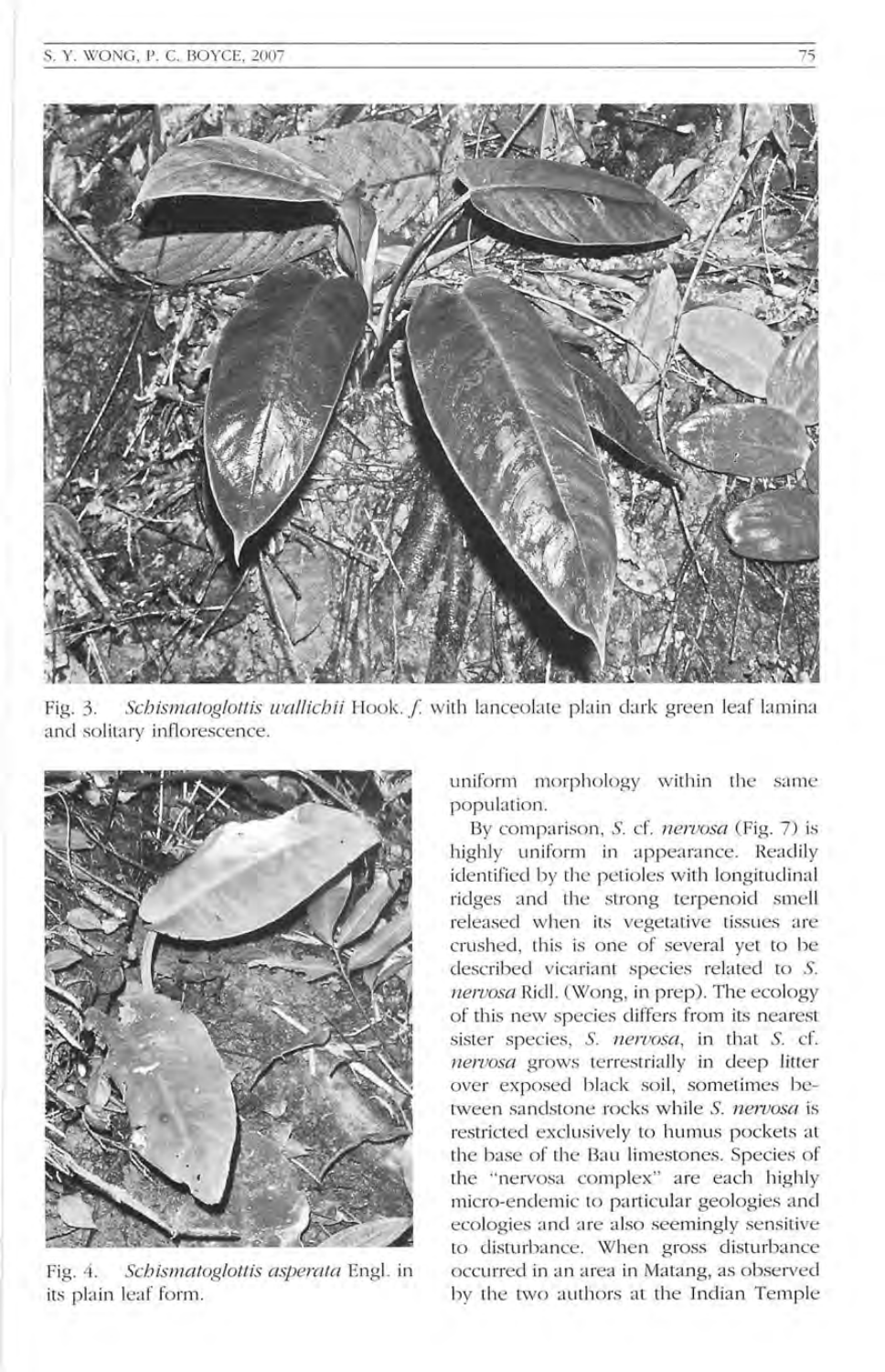

Fig. 3. *Schismatoglottis wallichii* Hook. *f.* with lanceolate plain dark green leaf lamina and solitary inflorescence.



Fig. 4. *Schismatoglottis asperata* Engl. in its plain leaf form.

uniform morphology within the same population.

By comparison, S. cf. *nervosa* (Fig. 7) is highly uniform in appearance. Readily identified by the petioles with longitudinal ridges and the strong terpenoid smell released when its vegetative tissues are crushed, this is one of several yet to be described vicariant species related to S. *nervosa* Ricll. (Wong, in prep). The ecology of this new species differs from its nearest sister species, S. *nervosa,* in that S. d. *neruosa* grows terrestrially in deep litter over exposed black soil, sometimes between sandstone rocks while S. nervosa is restricted exclusively to humus pockets at the base of the Bau limestones. Species of the "nervosa complex" are each highly micro-endemic to particular geologies and ecologies and are also seemingly sensitive to disturbance. When gross disturbance occurred in an area in Matang, as observed by the two authors at the Indian Temple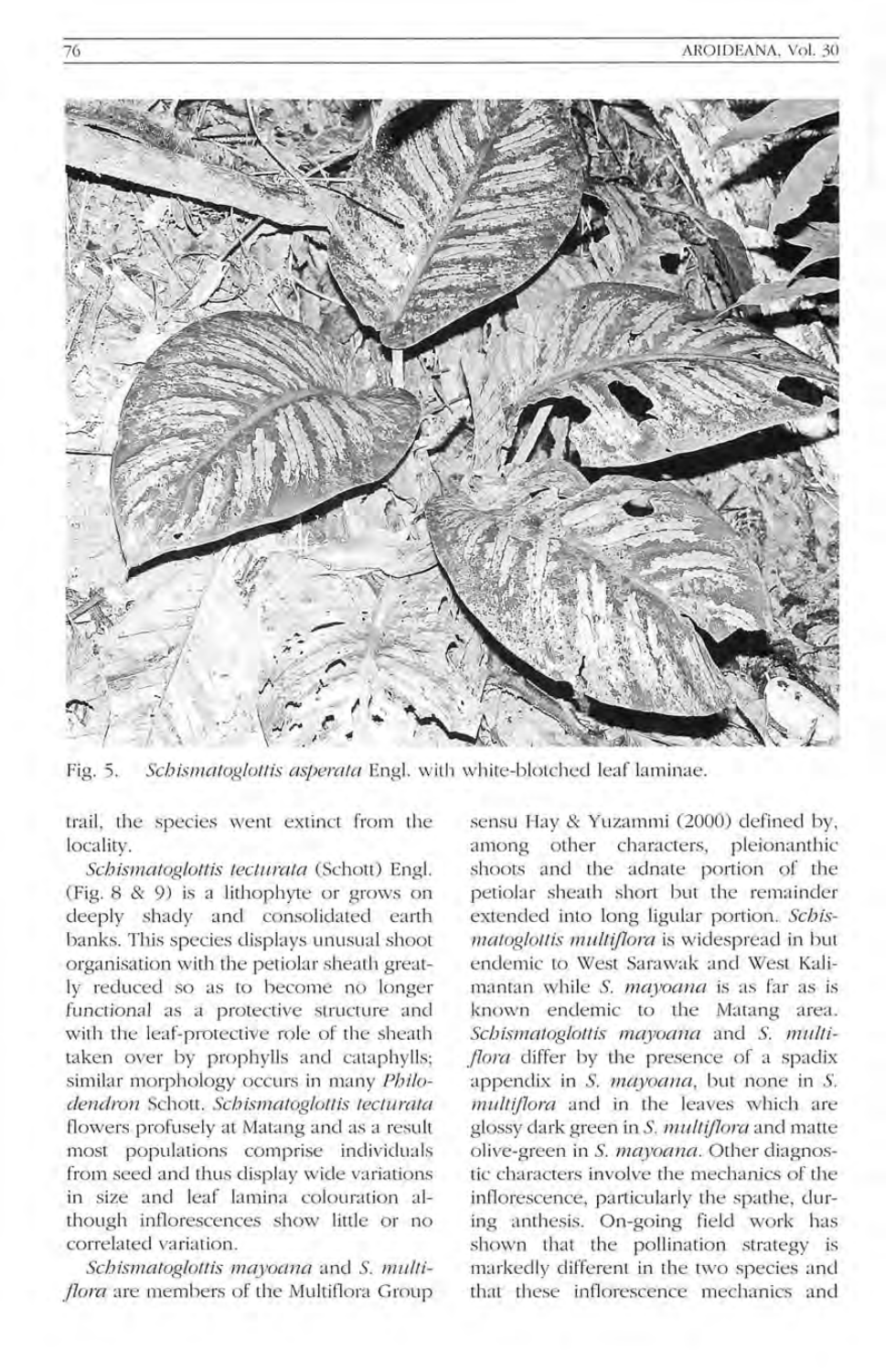

Fig. 5. Schismatoglottis asperata Engl. with white-blotched leaf laminae.

trail, the species went extinct from the locality.

*SebismatogloltiS teeturata* (Schott) Eng!. (Fig. 8 & 9) is a lithophyte or grows on deeply shady and consolidated earth banks. This species displays unusual shoot organisation with the petiolar sheath greatly reduced so as to become no longer functional as a protective structure and with the leaf-protective role of the sheath taken over by prophylls and cataphylls; similar morphology occurs in many *Pbilodendron* Schott. *Sebismatoglottis teeluntla*  flowers profusely at Matang and as a result most populations comprise individuals from seed and thus display wide variations in size and leaf lamina colouration although inflorescences show little or no correlated va riation.

*Sebismatoglottis mayoana* and S. *multi flora* are members of the Multiflora Group

sensu Hay & Yuzammi (2000) defined by, among other characters, pleionanthic shoots and the adnate portion of the petiolar sheath short but the remainder extended into long ligular portion. Schis*matoglot1is mult{flont* is widespread in but endemic to West Sarawak and West Kalimantan while S. *mayoana* is as far as is known endemic to the Matang area. *Sebismatoglottis mayoana* and S. *mulli flora* differ by the presence of a spadix appendix in S. mayoana, but none in S. *multiflora* and in the leaves which are glossy dark green in S. *multiflora* and matte oli ve-green in S. *mayoana.* Other diagnostic characters involve the mechanics of the inflorescence, particularly the spathe, during anthesis. On-going field work has shown that the pollination strategy is ma rkedly different in the two species and that these inflorescence mechanics and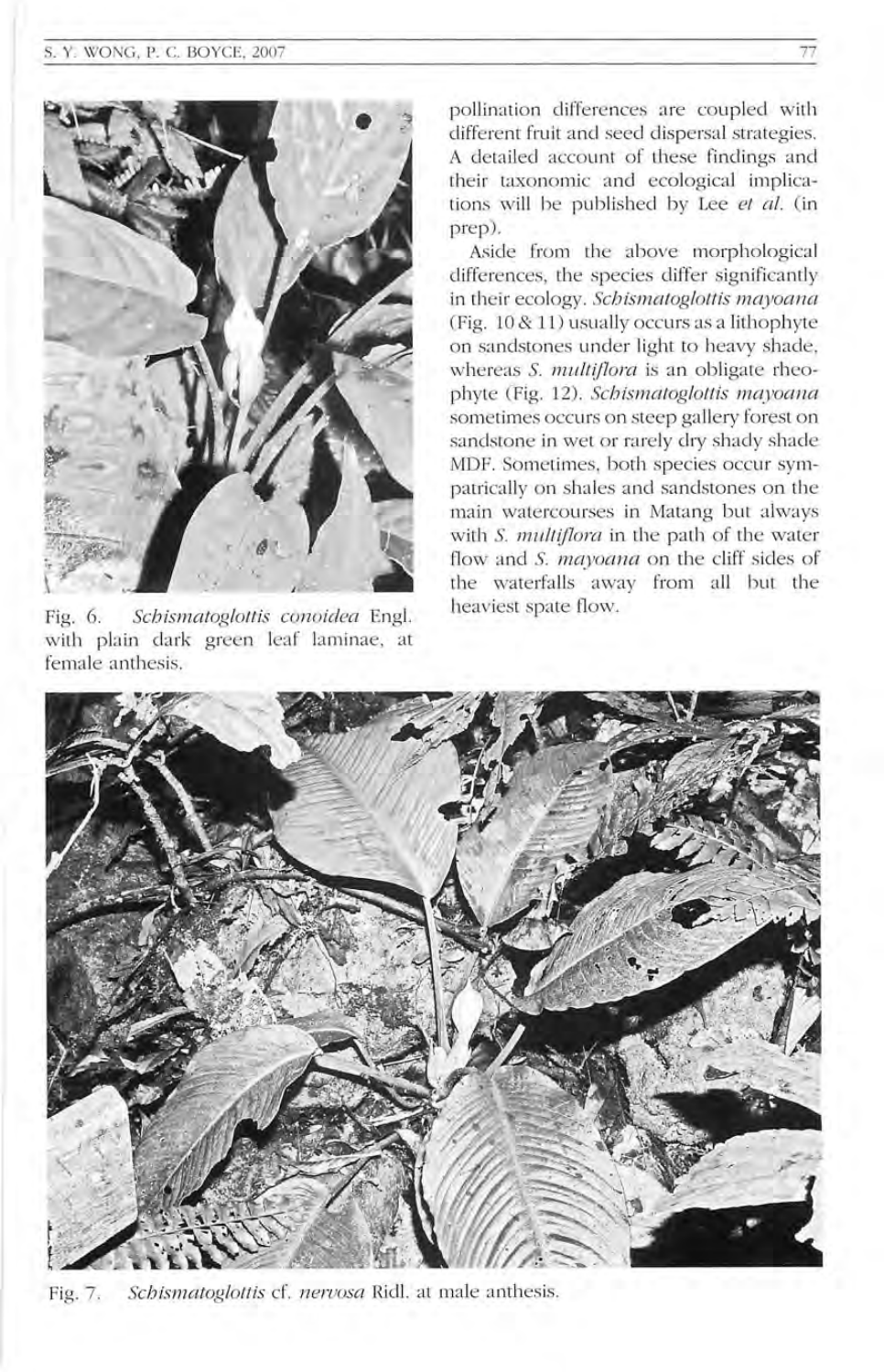#### S. Y. WONG, P. C. BOYCE, 2007



Fig. 6. *Schismatoglottis conoidea* Engl. with plain dark green leaf laminae, at female anthesis.

pollination differences are coupled with different fruit and seed dispersal strategies. A detailed account of these findings and their taxonomic and ecological implications will be published by Lee et al. (in prep).

Aside from the above morphological differences, the species differ significantly in their ecology. *Schismatoglottis mayoana* (Fig. 10 & 11) usually occurs as a lithophyte on sandstones under light to heavy shade, whereas *S. multiflora* is an obligate rheophyte (Fig. 12). *Schismatog!ottis mayocma*  sometimes occurs on steep gallery forest on sandstone in wet or rarely dry shady shade MDF. Sometimes, both species occur sympatrically on shales and sandstones on the main watercourses in Matang but always with S. *multijlom* in the path of the water flow and S. mayoana on the cliff sides of the waterfalls away from all but the heaviest spate flow.



Fig. 7. *Schismatoglottis* cf. *neruosa* Ricll. at male anthesis.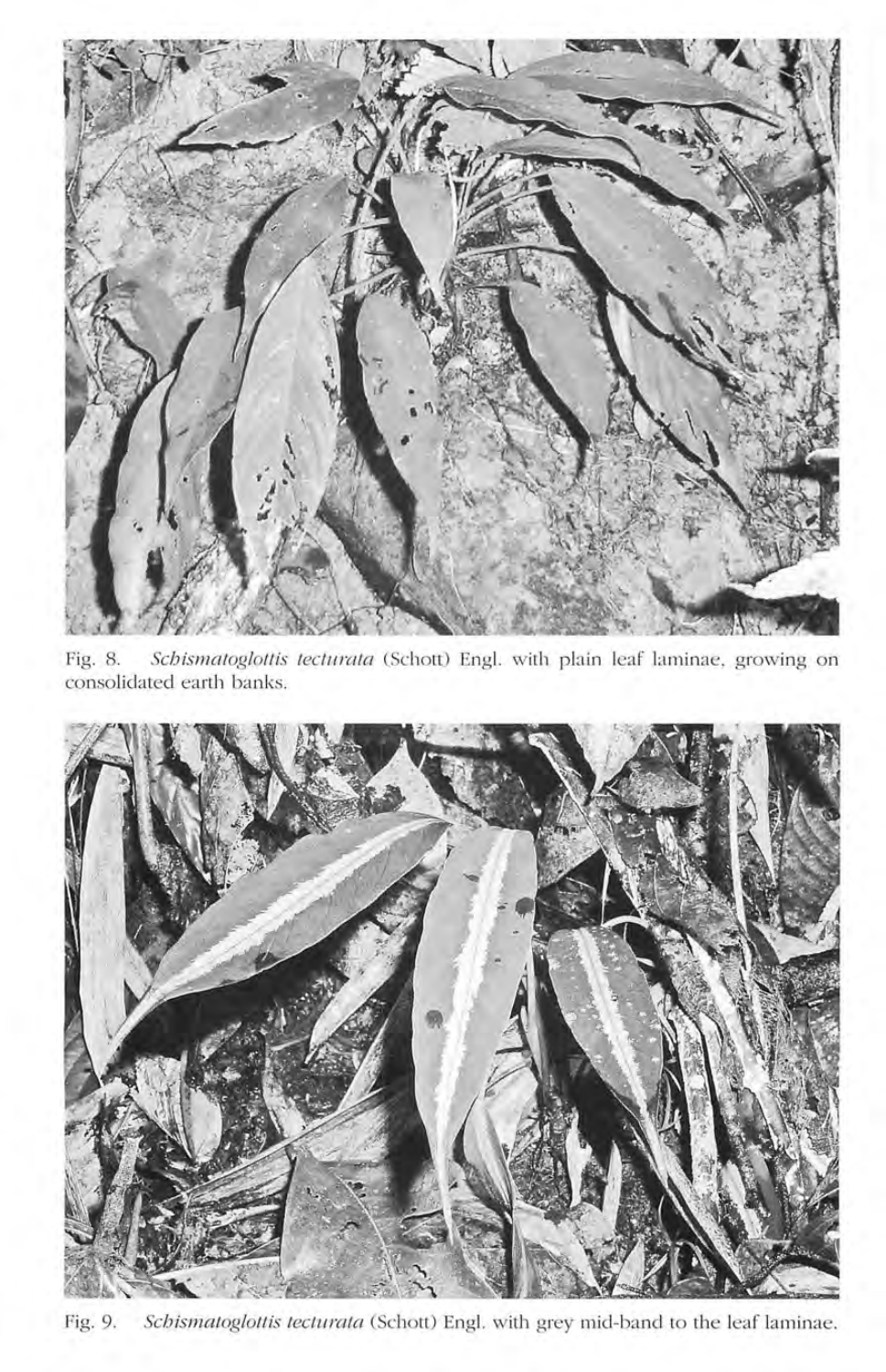

Fig. 8. *Schismatoglottis tecturata* (Schott) Engl. with plain leaf laminae, growing on consolidated earth banks.



Fig. 9. *Schismatoglottis tecturata* (Schott) Engl. with grey mid-band to the leaf laminae.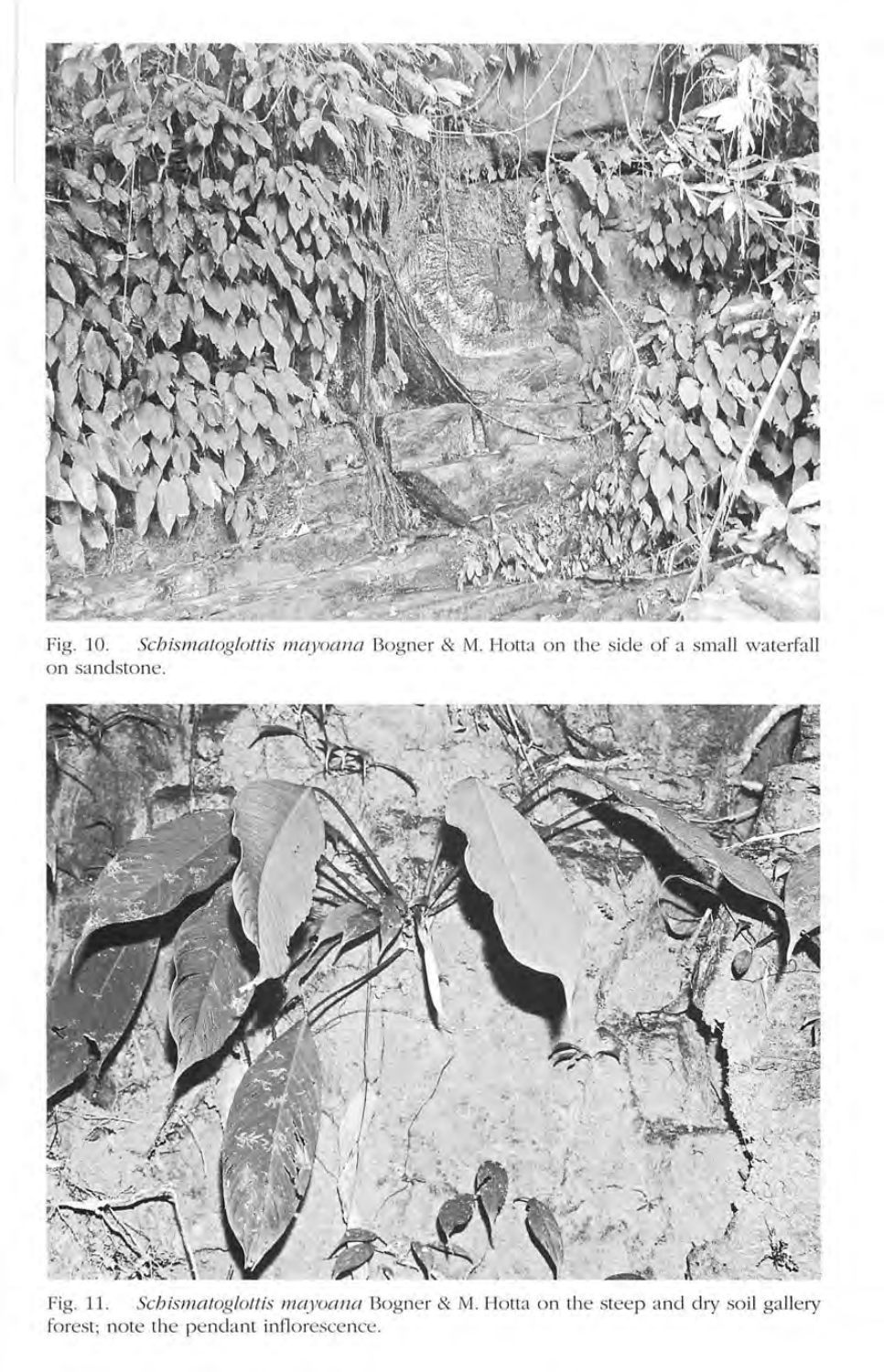

Fig. 10. *Schismatoglottis mayoana* Bogner & M. Hotta on the side of a small waterfall on sandstone.



Fig. 11. *Scbismatogloltis mayoana* Bogner & M. Hotta on the steep and dry soil gallery forest; note the pendant inflorescence.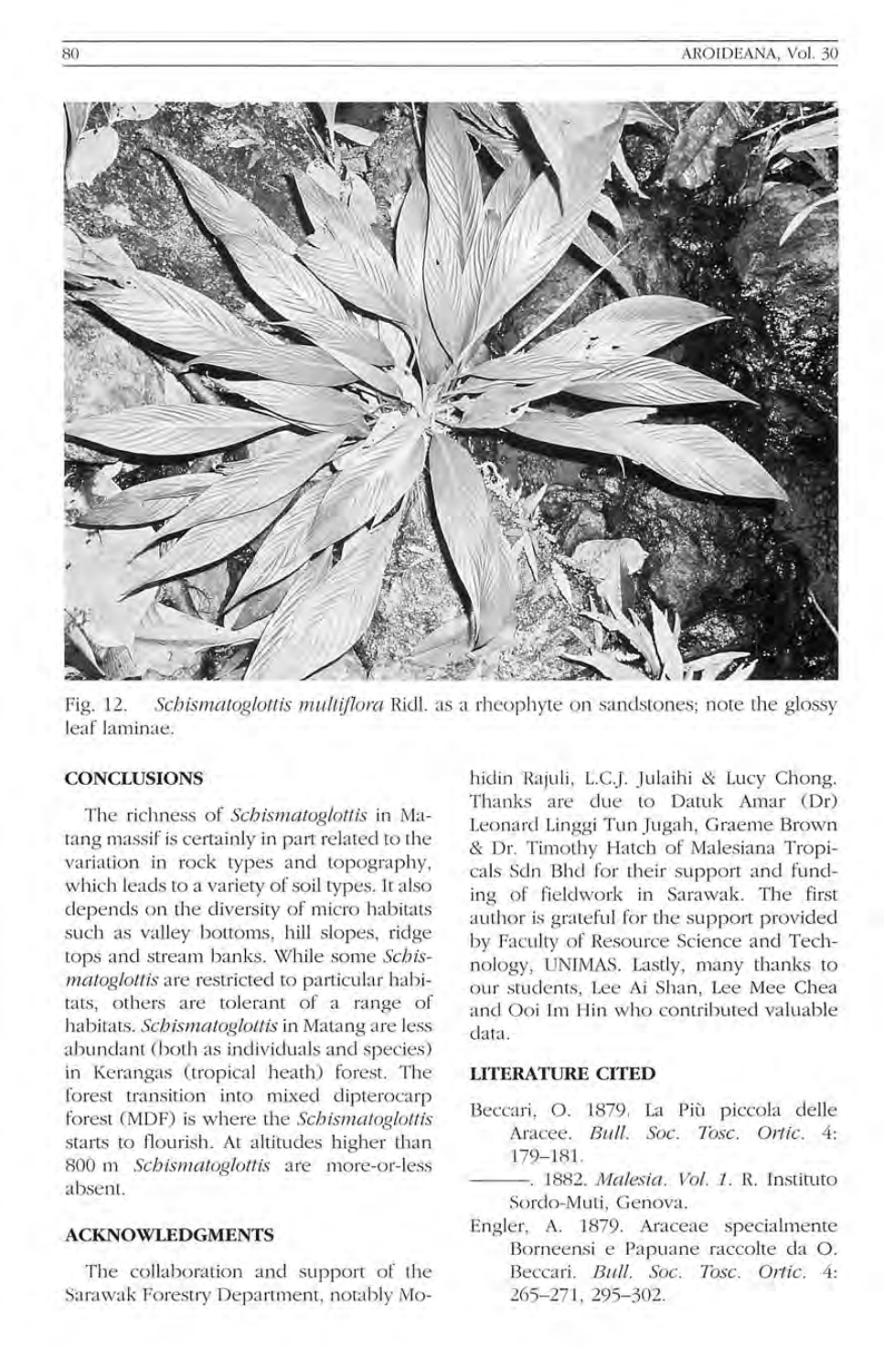

Fig. 12. Schismatoglottis multiflora Ridl. as a rheophyte on sandstones; note the glossy leaf laminae.

#### **CONCLUSIONS**

The richness of *Schismatoglottis* in Matang massif is certainly in part related to the variation in rock types and topography, which leads to a variety of soil types. It also depends on the diversity of micro habitats such as valley bottoms, hill slopes, ridge tops and stream banks. While some *Schismatoglottis* are restricted to particular habitats, others are tolerant of a range of habitats. *Schismatoglottis* in Matang are less abundant (both as individuals and species) in Kerangas (tropical heath) forest. The forest transition into mixed dipterocarp forest (MDF) is where the *Schismatoglottis* starts to flourish. At altitudes higher than 800 m *Schismatoglottis* are more-or-less absent.

#### **ACKNOWLEDGMENTS**

The collaboration and support of the Sarawak Forestry Department, notably Mohidin Rajuli, L.C.J. Julaihi & Lucy Chong. Thanks are due to Datuk Amar (Dr) Leonard Linggi Tun Jugah, Graeme Brown & Dr. Timothy Hatch of Malesiana Tropicals Sdn Bhd for their support and funding of fieldwork in Sarawak. The first author is grateful for the support provided by Faculty of Resource Science and Technology, UNlMAS. Lastly, many thanks to our students, Lee Ai Shan, Lee Mee Chea and Ooi 1m Hin who contributed valuable clata.

#### **LITERATURE CITED**

- Beccari, O. 1879. La Più piccola delle Aracee. *Bull. Soc. Tosc. Ortic.* 4: 179-18l.
- --- . 1882. *Malesia. Vol.* 1. R. Instituto Sordo-Muti, Genova.
- Engler, A. 1879. Araceae specialmente Borneensi e Papuane raccolte da O. Beccari. *Bull. Soc. Tosc. Ortic.* 4: 265-271 , 295- 302.